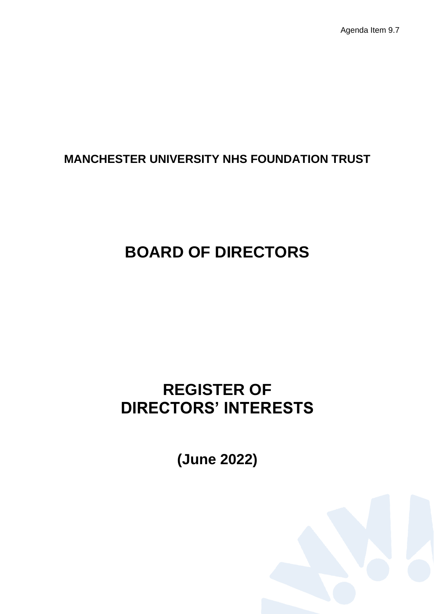Agenda Item 9.7

# **MANCHESTER UNIVERSITY NHS FOUNDATION TRUST**

# **BOARD OF DIRECTORS**

# **REGISTER OF DIRECTORS' INTERESTS**

**(June 2022)**

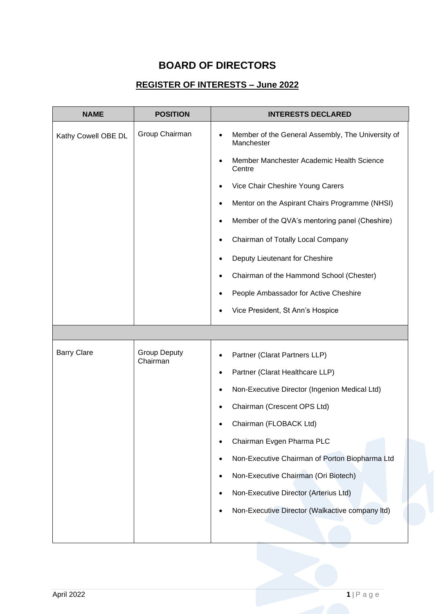### **BOARD OF DIRECTORS**

#### **REGISTER OF INTERESTS – June 2022**

| <b>NAME</b>         | <b>POSITION</b>                 | <b>INTERESTS DECLARED</b>                                                    |
|---------------------|---------------------------------|------------------------------------------------------------------------------|
| Kathy Cowell OBE DL | Group Chairman                  | Member of the General Assembly, The University of<br>$\bullet$<br>Manchester |
|                     |                                 | Member Manchester Academic Health Science<br>Centre                          |
|                     |                                 | Vice Chair Cheshire Young Carers                                             |
|                     |                                 | Mentor on the Aspirant Chairs Programme (NHSI)                               |
|                     |                                 | Member of the QVA's mentoring panel (Cheshire)                               |
|                     |                                 | Chairman of Totally Local Company<br>٠                                       |
|                     |                                 | Deputy Lieutenant for Cheshire                                               |
|                     |                                 | Chairman of the Hammond School (Chester)                                     |
|                     |                                 | People Ambassador for Active Cheshire                                        |
|                     |                                 | Vice President, St Ann's Hospice                                             |
|                     |                                 |                                                                              |
| <b>Barry Clare</b>  | <b>Group Deputy</b><br>Chairman | Partner (Clarat Partners LLP)                                                |
|                     |                                 | Partner (Clarat Healthcare LLP)                                              |
|                     |                                 | Non-Executive Director (Ingenion Medical Ltd)<br>٠                           |
|                     |                                 | Chairman (Crescent OPS Ltd)                                                  |
|                     |                                 | Chairman (FLOBACK Ltd)                                                       |
|                     |                                 | Chairman Evgen Pharma PLC                                                    |
|                     |                                 | Non-Executive Chairman of Porton Biopharma Ltd<br>٠                          |
|                     |                                 | Non-Executive Chairman (Ori Biotech)<br>$\bullet$                            |
|                     |                                 | Non-Executive Director (Arterius Ltd)<br>٠                                   |
|                     |                                 | Non-Executive Director (Walkactive company Itd)                              |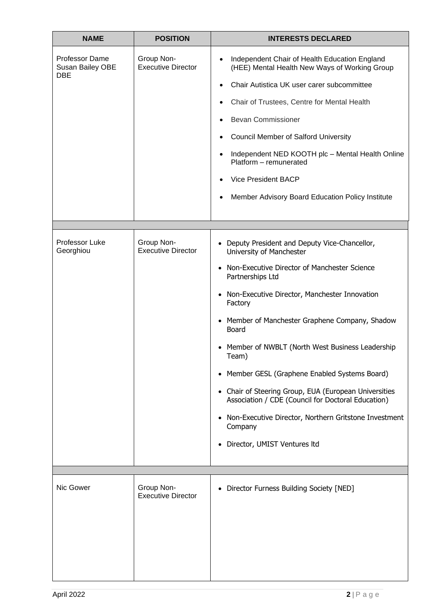| <b>NAME</b>                                                    | <b>POSITION</b>                         | <b>INTERESTS DECLARED</b>                                                                                                                                                                                                                                                                                                                                                                                                                                                                                                                                                                                   |
|----------------------------------------------------------------|-----------------------------------------|-------------------------------------------------------------------------------------------------------------------------------------------------------------------------------------------------------------------------------------------------------------------------------------------------------------------------------------------------------------------------------------------------------------------------------------------------------------------------------------------------------------------------------------------------------------------------------------------------------------|
| <b>Professor Dame</b><br><b>Susan Bailey OBE</b><br><b>DBE</b> | Group Non-<br><b>Executive Director</b> | Independent Chair of Health Education England<br>$\bullet$<br>(HEE) Mental Health New Ways of Working Group<br>Chair Autistica UK user carer subcommittee<br>$\bullet$<br>Chair of Trustees, Centre for Mental Health<br>٠<br><b>Bevan Commissioner</b><br><b>Council Member of Salford University</b><br>Independent NED KOOTH plc - Mental Health Online<br>Platform - remunerated<br><b>Vice President BACP</b><br>Member Advisory Board Education Policy Institute                                                                                                                                      |
|                                                                |                                         |                                                                                                                                                                                                                                                                                                                                                                                                                                                                                                                                                                                                             |
| Professor Luke<br>Georghiou                                    | Group Non-<br><b>Executive Director</b> | • Deputy President and Deputy Vice-Chancellor,<br>University of Manchester<br>• Non-Executive Director of Manchester Science<br>Partnerships Ltd<br>• Non-Executive Director, Manchester Innovation<br>Factory<br>• Member of Manchester Graphene Company, Shadow<br>Board<br>• Member of NWBLT (North West Business Leadership<br>Team)<br>• Member GESL (Graphene Enabled Systems Board)<br>Chair of Steering Group, EUA (European Universities<br>Association / CDE (Council for Doctoral Education)<br>Non-Executive Director, Northern Gritstone Investment<br>Company<br>Director, UMIST Ventures ltd |
|                                                                |                                         |                                                                                                                                                                                                                                                                                                                                                                                                                                                                                                                                                                                                             |
| Nic Gower                                                      | Group Non-<br><b>Executive Director</b> | • Director Furness Building Society [NED]                                                                                                                                                                                                                                                                                                                                                                                                                                                                                                                                                                   |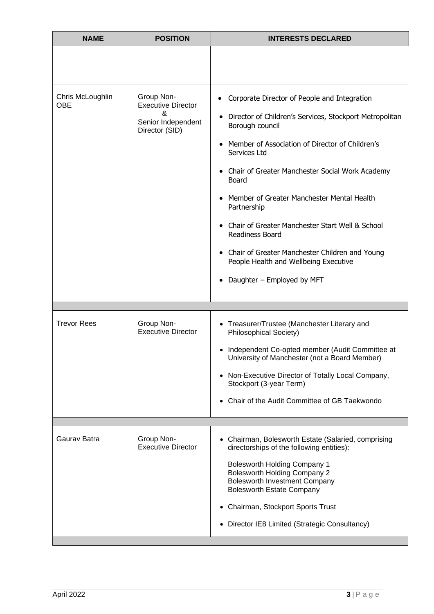| <b>NAME</b>                    | <b>POSITION</b>                                                                      | <b>INTERESTS DECLARED</b>                                                                                                                                                                                                                                                                                                                                                                                                                                                                                                                                                   |
|--------------------------------|--------------------------------------------------------------------------------------|-----------------------------------------------------------------------------------------------------------------------------------------------------------------------------------------------------------------------------------------------------------------------------------------------------------------------------------------------------------------------------------------------------------------------------------------------------------------------------------------------------------------------------------------------------------------------------|
|                                |                                                                                      |                                                                                                                                                                                                                                                                                                                                                                                                                                                                                                                                                                             |
| Chris McLoughlin<br><b>OBE</b> | Group Non-<br><b>Executive Director</b><br>&<br>Senior Independent<br>Director (SID) | Corporate Director of People and Integration<br>Director of Children's Services, Stockport Metropolitan<br>$\bullet$<br>Borough council<br>Member of Association of Director of Children's<br>Services Ltd<br>Chair of Greater Manchester Social Work Academy<br>$\bullet$<br>Board<br>Member of Greater Manchester Mental Health<br>$\bullet$<br>Partnership<br>Chair of Greater Manchester Start Well & School<br>$\bullet$<br>Readiness Board<br>• Chair of Greater Manchester Children and Young<br>People Health and Wellbeing Executive<br>Daughter - Employed by MFT |
|                                |                                                                                      |                                                                                                                                                                                                                                                                                                                                                                                                                                                                                                                                                                             |
| <b>Trevor Rees</b>             | Group Non-<br><b>Executive Director</b>                                              | • Treasurer/Trustee (Manchester Literary and<br><b>Philosophical Society)</b><br>Independent Co-opted member (Audit Committee at<br>$\bullet$<br>University of Manchester (not a Board Member)<br>• Non-Executive Director of Totally Local Company,<br>Stockport (3-year Term)<br>Chair of the Audit Committee of GB Taekwondo<br>$\bullet$                                                                                                                                                                                                                                |
| Gaurav Batra                   | Group Non-<br><b>Executive Director</b>                                              | • Chairman, Bolesworth Estate (Salaried, comprising<br>directorships of the following entities):<br><b>Bolesworth Holding Company 1</b><br><b>Bolesworth Holding Company 2</b><br><b>Bolesworth Investment Company</b><br><b>Bolesworth Estate Company</b><br>Chairman, Stockport Sports Trust<br>٠<br>Director IE8 Limited (Strategic Consultancy)<br>$\bullet$                                                                                                                                                                                                            |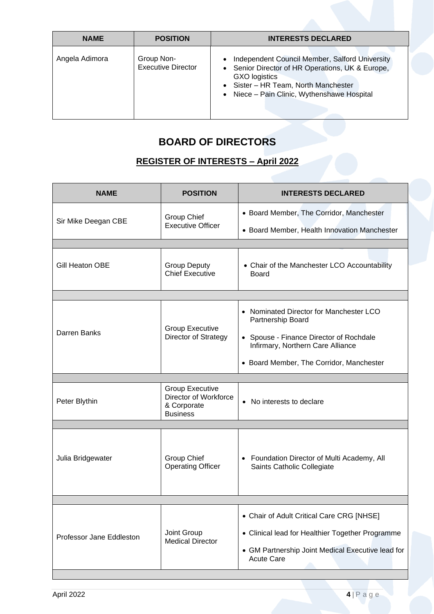| <b>NAME</b>    | <b>POSITION</b>                         | <b>INTERESTS DECLARED</b>                                                                                                                                                                              |
|----------------|-----------------------------------------|--------------------------------------------------------------------------------------------------------------------------------------------------------------------------------------------------------|
| Angela Adimora | Group Non-<br><b>Executive Director</b> | Independent Council Member, Salford University<br>Senior Director of HR Operations, UK & Europe,<br>GXO logistics<br>• Sister - HR Team, North Manchester<br>Niece - Pain Clinic, Wythenshawe Hospital |

## **BOARD OF DIRECTORS**

### **REGISTER OF INTERESTS – April 2022**

| <b>NAME</b>              | <b>POSITION</b>                                                                   | <b>INTERESTS DECLARED</b>                                                    |
|--------------------------|-----------------------------------------------------------------------------------|------------------------------------------------------------------------------|
| Sir Mike Deegan CBE      | <b>Group Chief</b>                                                                | • Board Member, The Corridor, Manchester                                     |
|                          | <b>Executive Officer</b>                                                          | • Board Member, Health Innovation Manchester                                 |
|                          |                                                                                   |                                                                              |
| Gill Heaton OBE          | <b>Group Deputy</b><br><b>Chief Executive</b>                                     | • Chair of the Manchester LCO Accountability<br><b>Board</b>                 |
|                          |                                                                                   |                                                                              |
|                          |                                                                                   | • Nominated Director for Manchester LCO<br>Partnership Board                 |
| Darren Banks             | <b>Group Executive</b><br>Director of Strategy                                    | • Spouse - Finance Director of Rochdale<br>Infirmary, Northern Care Alliance |
|                          |                                                                                   | • Board Member, The Corridor, Manchester                                     |
|                          |                                                                                   |                                                                              |
| Peter Blythin            | <b>Group Executive</b><br>Director of Workforce<br>& Corporate<br><b>Business</b> | • No interests to declare                                                    |
|                          |                                                                                   |                                                                              |
| Julia Bridgewater        | Group Chief<br><b>Operating Officer</b>                                           | • Foundation Director of Multi Academy, All<br>Saints Catholic Collegiate    |
|                          |                                                                                   |                                                                              |
|                          |                                                                                   | • Chair of Adult Critical Care CRG [NHSE]                                    |
| Professor Jane Eddleston | Joint Group<br><b>Medical Director</b>                                            | • Clinical lead for Healthier Together Programme                             |
|                          |                                                                                   | • GM Partnership Joint Medical Executive lead for<br><b>Acute Care</b>       |